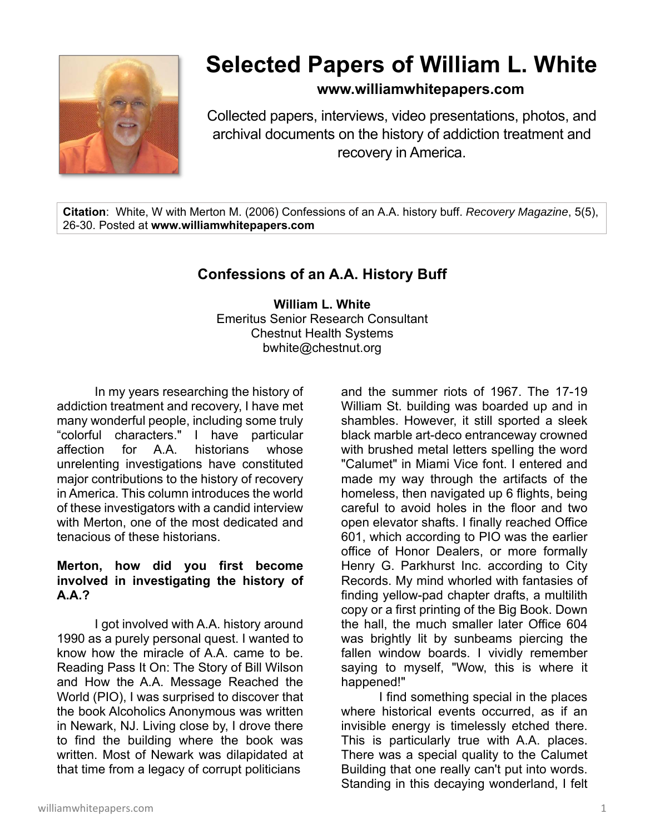

# **Selected Papers of William L. White**

# **www.williamwhitepapers.com**

Collected papers, interviews, video presentations, photos, and archival documents on the history of addiction treatment and recovery in America.

**Citation**: White, W with Merton M. (2006) Confessions of an A.A. history buff. *Recovery Magazine*, 5(5), 26-30. Posted at **www.williamwhitepapers.com** 

# **Confessions of an A.A. History Buff**

**William L. White**  Emeritus Senior Research Consultant Chestnut Health Systems bwhite@chestnut.org

In my years researching the history of addiction treatment and recovery, I have met many wonderful people, including some truly "colorful characters." I have particular affection for A.A. historians whose unrelenting investigations have constituted major contributions to the history of recovery in America. This column introduces the world of these investigators with a candid interview with Merton, one of the most dedicated and tenacious of these historians.

#### **Merton, how did you first become involved in investigating the history of A.A.?**

 I got involved with A.A. history around 1990 as a purely personal quest. I wanted to know how the miracle of A.A. came to be. Reading Pass It On: The Story of Bill Wilson and How the A.A. Message Reached the World (PIO), I was surprised to discover that the book Alcoholics Anonymous was written in Newark, NJ. Living close by, I drove there to find the building where the book was written. Most of Newark was dilapidated at that time from a legacy of corrupt politicians

and the summer riots of 1967. The 17-19 William St. building was boarded up and in shambles. However, it still sported a sleek black marble art-deco entranceway crowned with brushed metal letters spelling the word "Calumet" in Miami Vice font. I entered and made my way through the artifacts of the homeless, then navigated up 6 flights, being careful to avoid holes in the floor and two open elevator shafts. I finally reached Office 601, which according to PIO was the earlier office of Honor Dealers, or more formally Henry G. Parkhurst Inc. according to City Records. My mind whorled with fantasies of finding yellow-pad chapter drafts, a multilith copy or a first printing of the Big Book. Down the hall, the much smaller later Office 604 was brightly lit by sunbeams piercing the fallen window boards. I vividly remember saying to myself, "Wow, this is where it happened!"

 I find something special in the places where historical events occurred, as if an invisible energy is timelessly etched there. This is particularly true with A.A. places. There was a special quality to the Calumet Building that one really can't put into words. Standing in this decaying wonderland, I felt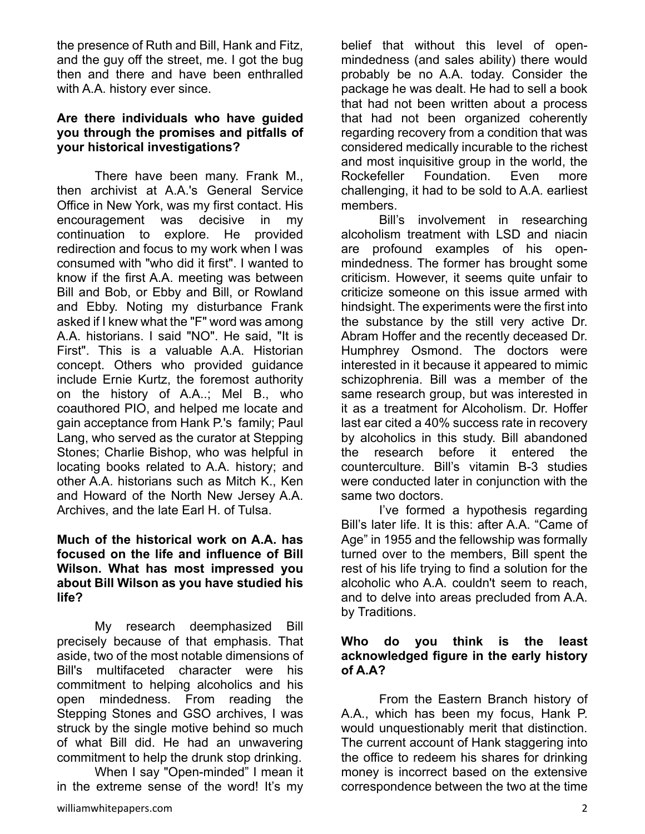the presence of Ruth and Bill, Hank and Fitz, and the guy off the street, me. I got the bug then and there and have been enthralled with A.A. history ever since.

# **Are there individuals who have guided you through the promises and pitfalls of your historical investigations?**

 There have been many. Frank M., then archivist at A.A.'s General Service Office in New York, was my first contact. His encouragement was decisive in my continuation to explore. He provided redirection and focus to my work when I was consumed with "who did it first". I wanted to know if the first A.A. meeting was between Bill and Bob, or Ebby and Bill, or Rowland and Ebby. Noting my disturbance Frank asked if I knew what the "F" word was among A.A. historians. I said "NO". He said, "It is First". This is a valuable A.A. Historian concept. Others who provided guidance include Ernie Kurtz, the foremost authority on the history of A.A..; Mel B., who coauthored PIO, and helped me locate and gain acceptance from Hank P.'s family; Paul Lang, who served as the curator at Stepping Stones; Charlie Bishop, who was helpful in locating books related to A.A. history; and other A.A. historians such as Mitch K., Ken and Howard of the North New Jersey A.A. Archives, and the late Earl H. of Tulsa.

#### **Much of the historical work on A.A. has focused on the life and influence of Bill Wilson. What has most impressed you about Bill Wilson as you have studied his life?**

 My research deemphasized Bill precisely because of that emphasis. That aside, two of the most notable dimensions of Bill's multifaceted character were his commitment to helping alcoholics and his open mindedness. From reading the Stepping Stones and GSO archives, I was struck by the single motive behind so much of what Bill did. He had an unwavering commitment to help the drunk stop drinking.

 When I say "Open-minded" I mean it in the extreme sense of the word! It's my belief that without this level of openmindedness (and sales ability) there would probably be no A.A. today. Consider the package he was dealt. He had to sell a book that had not been written about a process that had not been organized coherently regarding recovery from a condition that was considered medically incurable to the richest and most inquisitive group in the world, the Rockefeller Foundation. Even more challenging, it had to be sold to A.A. earliest members.

 Bill's involvement in researching alcoholism treatment with LSD and niacin are profound examples of his openmindedness. The former has brought some criticism. However, it seems quite unfair to criticize someone on this issue armed with hindsight. The experiments were the first into the substance by the still very active Dr. Abram Hoffer and the recently deceased Dr. Humphrey Osmond. The doctors were interested in it because it appeared to mimic schizophrenia. Bill was a member of the same research group, but was interested in it as a treatment for Alcoholism. Dr. Hoffer last ear cited a 40% success rate in recovery by alcoholics in this study. Bill abandoned the research before it entered the counterculture. Bill's vitamin B-3 studies were conducted later in conjunction with the same two doctors.

 I've formed a hypothesis regarding Bill's later life. It is this: after A.A. "Came of Age" in 1955 and the fellowship was formally turned over to the members, Bill spent the rest of his life trying to find a solution for the alcoholic who A.A. couldn't seem to reach, and to delve into areas precluded from A.A. by Traditions.

# **Who do you think is the least acknowledged figure in the early history of A.A?**

 From the Eastern Branch history of A.A., which has been my focus, Hank P. would unquestionably merit that distinction. The current account of Hank staggering into the office to redeem his shares for drinking money is incorrect based on the extensive correspondence between the two at the time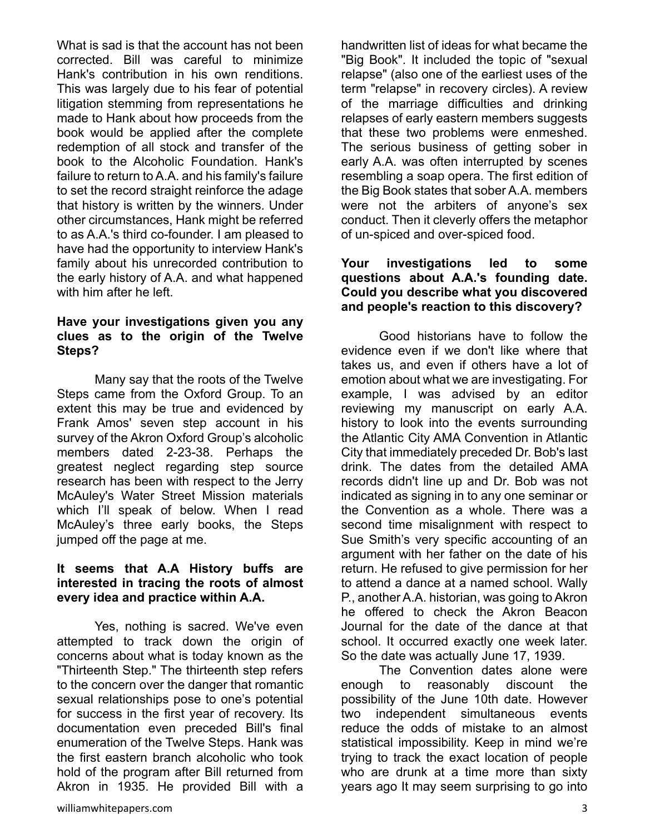What is sad is that the account has not been corrected. Bill was careful to minimize Hank's contribution in his own renditions. This was largely due to his fear of potential litigation stemming from representations he made to Hank about how proceeds from the book would be applied after the complete redemption of all stock and transfer of the book to the Alcoholic Foundation. Hank's failure to return to A.A. and his family's failure to set the record straight reinforce the adage that history is written by the winners. Under other circumstances, Hank might be referred to as A.A.'s third co-founder. I am pleased to have had the opportunity to interview Hank's family about his unrecorded contribution to the early history of A.A. and what happened with him after he left.

#### **Have your investigations given you any clues as to the origin of the Twelve Steps?**

 Many say that the roots of the Twelve Steps came from the Oxford Group. To an extent this may be true and evidenced by Frank Amos' seven step account in his survey of the Akron Oxford Group's alcoholic members dated 2-23-38. Perhaps the greatest neglect regarding step source research has been with respect to the Jerry McAuley's Water Street Mission materials which I'll speak of below. When I read McAuley's three early books, the Steps jumped off the page at me.

#### **It seems that A.A History buffs are interested in tracing the roots of almost every idea and practice within A.A.**

 Yes, nothing is sacred. We've even attempted to track down the origin of concerns about what is today known as the "Thirteenth Step." The thirteenth step refers to the concern over the danger that romantic sexual relationships pose to one's potential for success in the first year of recovery. Its documentation even preceded Bill's final enumeration of the Twelve Steps. Hank was the first eastern branch alcoholic who took hold of the program after Bill returned from Akron in 1935. He provided Bill with a handwritten list of ideas for what became the "Big Book". It included the topic of "sexual relapse" (also one of the earliest uses of the term "relapse" in recovery circles). A review of the marriage difficulties and drinking relapses of early eastern members suggests that these two problems were enmeshed. The serious business of getting sober in early A.A. was often interrupted by scenes resembling a soap opera. The first edition of the Big Book states that sober A.A. members were not the arbiters of anyone's sex conduct. Then it cleverly offers the metaphor of un-spiced and over-spiced food.

# **Your investigations led to some questions about A.A.'s founding date. Could you describe what you discovered and people's reaction to this discovery?**

 Good historians have to follow the evidence even if we don't like where that takes us, and even if others have a lot of emotion about what we are investigating. For example, I was advised by an editor reviewing my manuscript on early A.A. history to look into the events surrounding the Atlantic City AMA Convention in Atlantic City that immediately preceded Dr. Bob's last drink. The dates from the detailed AMA records didn't line up and Dr. Bob was not indicated as signing in to any one seminar or the Convention as a whole. There was a second time misalignment with respect to Sue Smith's very specific accounting of an argument with her father on the date of his return. He refused to give permission for her to attend a dance at a named school. Wally P., another A.A. historian, was going to Akron he offered to check the Akron Beacon Journal for the date of the dance at that school. It occurred exactly one week later. So the date was actually June 17, 1939.

 The Convention dates alone were enough to reasonably discount the possibility of the June 10th date. However two independent simultaneous events reduce the odds of mistake to an almost statistical impossibility. Keep in mind we're trying to track the exact location of people who are drunk at a time more than sixty years ago It may seem surprising to go into